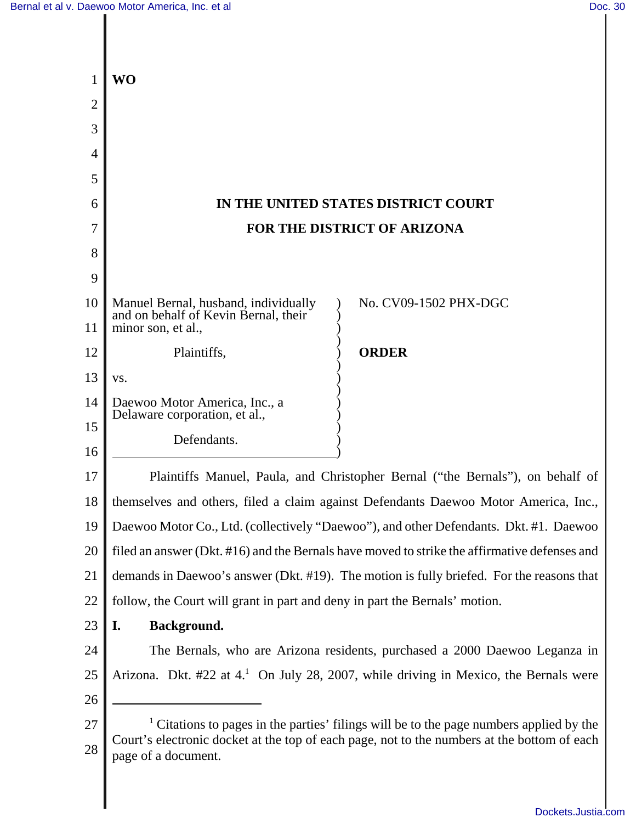|                | WO                                                                                                                                                                                                                       |
|----------------|--------------------------------------------------------------------------------------------------------------------------------------------------------------------------------------------------------------------------|
| $\overline{2}$ |                                                                                                                                                                                                                          |
| 3              |                                                                                                                                                                                                                          |
| 4              |                                                                                                                                                                                                                          |
| 5              |                                                                                                                                                                                                                          |
| 6              | IN THE UNITED STATES DISTRICT COURT                                                                                                                                                                                      |
| 7              | FOR THE DISTRICT OF ARIZONA                                                                                                                                                                                              |
| 8              |                                                                                                                                                                                                                          |
| 9              |                                                                                                                                                                                                                          |
| 10             | Manuel Bernal, husband, individually<br>No. CV09-1502 PHX-DGC<br>and on behalf of Kevin Bernal, their                                                                                                                    |
| 11             | minor son, et al.,                                                                                                                                                                                                       |
| 12             | <b>ORDER</b><br>Plaintiffs,                                                                                                                                                                                              |
| 13             | VS.                                                                                                                                                                                                                      |
| 14             | Daewoo Motor America, Inc., a<br>Delaware corporation, et al.,                                                                                                                                                           |
| 15             | Defendants.                                                                                                                                                                                                              |
| 16             |                                                                                                                                                                                                                          |
| 17             | Plaintiffs Manuel, Paula, and Christopher Bernal ("the Bernals"), on behalf of                                                                                                                                           |
| 18             | themselves and others, filed a claim against Defendants Daewoo Motor America, Inc.,                                                                                                                                      |
| 19             | Daewoo Motor Co., Ltd. (collectively "Daewoo"), and other Defendants. Dkt. #1. Daewoo                                                                                                                                    |
| 20             | filed an answer (Dkt. #16) and the Bernals have moved to strike the affirmative defenses and                                                                                                                             |
| 21             | demands in Daewoo's answer (Dkt. #19). The motion is fully briefed. For the reasons that                                                                                                                                 |
| 22             | follow, the Court will grant in part and deny in part the Bernals' motion.                                                                                                                                               |
| 23             | Background.<br>I.                                                                                                                                                                                                        |
| 24             | The Bernals, who are Arizona residents, purchased a 2000 Daewoo Leganza in                                                                                                                                               |
| 25             | Arizona. Dkt. #22 at 4. <sup>1</sup> On July 28, 2007, while driving in Mexico, the Bernals were                                                                                                                         |
| 26             |                                                                                                                                                                                                                          |
| 27<br>28       | <sup>1</sup> Citations to pages in the parties' filings will be to the page numbers applied by the<br>Court's electronic docket at the top of each page, not to the numbers at the bottom of each<br>page of a document. |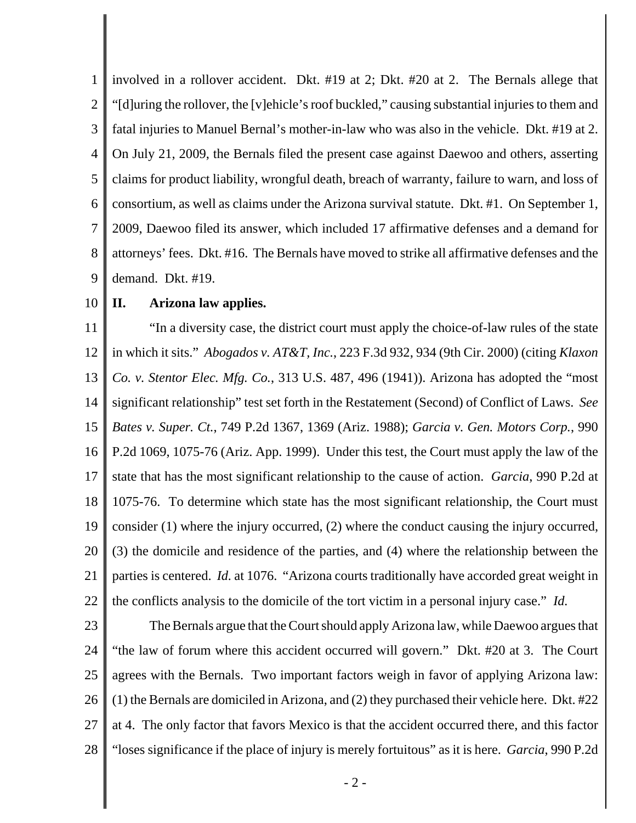1 2 3 4 5 6 7 8 9 involved in a rollover accident. Dkt. #19 at 2; Dkt. #20 at 2. The Bernals allege that "[d]uring the rollover, the [v]ehicle's roof buckled," causing substantial injuries to them and fatal injuries to Manuel Bernal's mother-in-law who was also in the vehicle. Dkt. #19 at 2. On July 21, 2009, the Bernals filed the present case against Daewoo and others, asserting claims for product liability, wrongful death, breach of warranty, failure to warn, and loss of consortium, as well as claims under the Arizona survival statute. Dkt. #1. On September 1, 2009, Daewoo filed its answer, which included 17 affirmative defenses and a demand for attorneys' fees. Dkt. #16. The Bernals have moved to strike all affirmative defenses and the demand.Dkt. #19.

#### 10 **II. Arizona law applies.**

11 12 13 14 15 16 17 18 19 20 21 22 "In a diversity case, the district court must apply the choice-of-law rules of the state in which it sits." *Abogados v. AT&T, Inc.*, 223 F.3d 932, 934 (9th Cir. 2000) (citing *Klaxon Co. v. Stentor Elec. Mfg. Co.*, 313 U.S. 487, 496 (1941)). Arizona has adopted the "most significant relationship" test set forth in the Restatement (Second) of Conflict of Laws. *See Bates v. Super. Ct.*, 749 P.2d 1367, 1369 (Ariz. 1988); *Garcia v. Gen. Motors Corp.*, 990 P.2d 1069, 1075-76 (Ariz. App. 1999). Under this test, the Court must apply the law of the state that has the most significant relationship to the cause of action. *Garcia*, 990 P.2d at 1075-76. To determine which state has the most significant relationship, the Court must consider (1) where the injury occurred, (2) where the conduct causing the injury occurred, (3) the domicile and residence of the parties, and (4) where the relationship between the parties is centered. *Id.* at 1076. "Arizona courts traditionally have accorded great weight in the conflicts analysis to the domicile of the tort victim in a personal injury case." *Id.*

23 24 25 26 27 28 The Bernals argue that the Court should apply Arizona law, while Daewoo argues that "the law of forum where this accident occurred will govern." Dkt. #20 at 3. The Court agrees with the Bernals. Two important factors weigh in favor of applying Arizona law: (1) the Bernals are domiciled in Arizona, and (2) they purchased their vehicle here. Dkt. #22 at 4. The only factor that favors Mexico is that the accident occurred there, and this factor "loses significance if the place of injury is merely fortuitous" as it is here. *Garcia*, 990 P.2d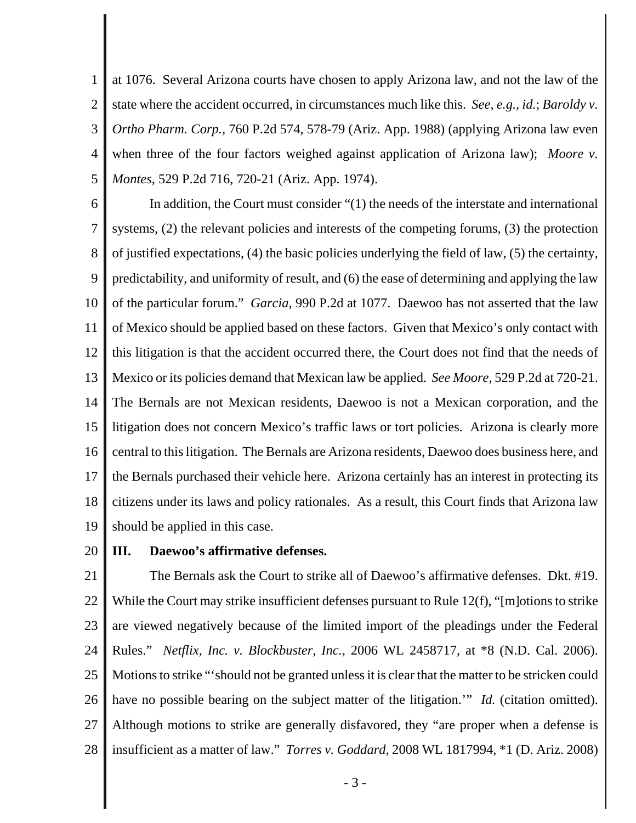1 2 3 4 5 at 1076. Several Arizona courts have chosen to apply Arizona law, and not the law of the state where the accident occurred, in circumstances much like this. *See, e.g., id.*; *Baroldy v. Ortho Pharm. Corp.*, 760 P.2d 574, 578-79 (Ariz. App. 1988) (applying Arizona law even when three of the four factors weighed against application of Arizona law); *Moore v. Montes*, 529 P.2d 716, 720-21 (Ariz. App. 1974).

6 7 8 9 10 11 12 13 14 15 16 17 18 19 In addition, the Court must consider "(1) the needs of the interstate and international systems, (2) the relevant policies and interests of the competing forums, (3) the protection of justified expectations, (4) the basic policies underlying the field of law, (5) the certainty, predictability, and uniformity of result, and (6) the ease of determining and applying the law of the particular forum." *Garcia*, 990 P.2d at 1077. Daewoo has not asserted that the law of Mexico should be applied based on these factors. Given that Mexico's only contact with this litigation is that the accident occurred there, the Court does not find that the needs of Mexico or its policies demand that Mexican law be applied. *See Moore*, 529 P.2d at 720-21. The Bernals are not Mexican residents, Daewoo is not a Mexican corporation, and the litigation does not concern Mexico's traffic laws or tort policies. Arizona is clearly more central to this litigation. The Bernals are Arizona residents, Daewoo does business here, and the Bernals purchased their vehicle here. Arizona certainly has an interest in protecting its citizens under its laws and policy rationales. As a result, this Court finds that Arizona law should be applied in this case.

#### 20 **III. Daewoo's affirmative defenses.**

21 22 23 24 25 26 27 28 The Bernals ask the Court to strike all of Daewoo's affirmative defenses. Dkt. #19. While the Court may strike insufficient defenses pursuant to Rule 12(f), "[m]otions to strike are viewed negatively because of the limited import of the pleadings under the Federal Rules." *Netflix, Inc. v. Blockbuster, Inc.*, 2006 WL 2458717, at \*8 (N.D. Cal. 2006). Motions to strike "'should not be granted unless it is clear that the matter to be stricken could have no possible bearing on the subject matter of the litigation.'" *Id.* (citation omitted). Although motions to strike are generally disfavored, they "are proper when a defense is insufficient as a matter of law." *Torres v. Goddard*, 2008 WL 1817994, \*1 (D. Ariz. 2008)

- 3 -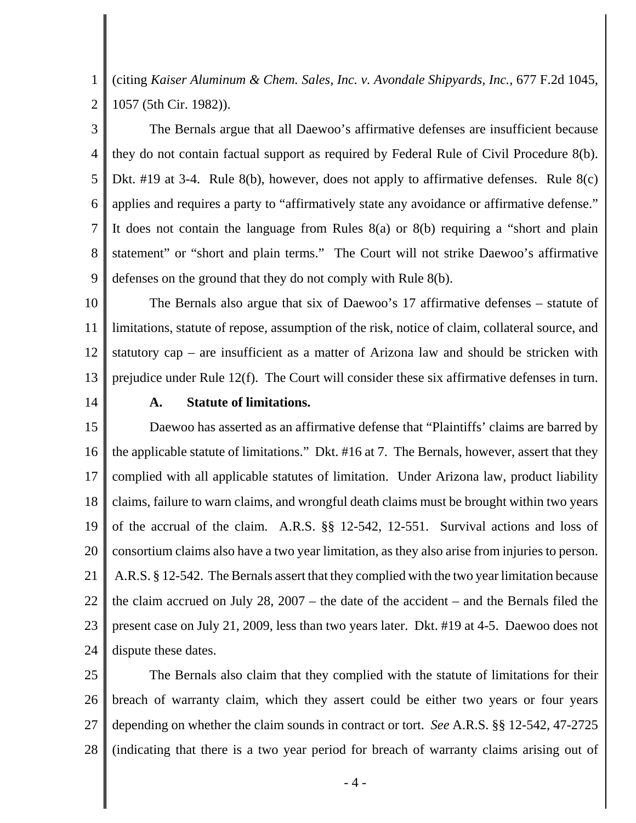1 2 (citing *Kaiser Aluminum & Chem. Sales, Inc. v. Avondale Shipyards, Inc.*, 677 F.2d 1045, 1057 (5th Cir. 1982)).

3 4 5 6 7 8 9 The Bernals argue that all Daewoo's affirmative defenses are insufficient because they do not contain factual support as required by Federal Rule of Civil Procedure 8(b). Dkt. #19 at 3-4. Rule 8(b), however, does not apply to affirmative defenses. Rule 8(c) applies and requires a party to "affirmatively state any avoidance or affirmative defense." It does not contain the language from Rules 8(a) or 8(b) requiring a "short and plain statement" or "short and plain terms." The Court will not strike Daewoo's affirmative defenses on the ground that they do not comply with Rule 8(b).

10 11 12 13 The Bernals also argue that six of Daewoo's 17 affirmative defenses – statute of limitations, statute of repose, assumption of the risk, notice of claim, collateral source, and statutory cap – are insufficient as a matter of Arizona law and should be stricken with prejudice under Rule 12(f). The Court will consider these six affirmative defenses in turn.

14

### **A. Statute of limitations.**

15 16 17 18 19 20 21 22 23 24 Daewoo has asserted as an affirmative defense that "Plaintiffs' claims are barred by the applicable statute of limitations." Dkt. #16 at 7. The Bernals, however, assert that they complied with all applicable statutes of limitation. Under Arizona law, product liability claims, failure to warn claims, and wrongful death claims must be brought within two years of the accrual of the claim. A.R.S. §§ 12-542, 12-551. Survival actions and loss of consortium claims also have a two year limitation, as they also arise from injuries to person. A.R.S. § 12-542. The Bernals assert that they complied with the two year limitation because the claim accrued on July 28, 2007 – the date of the accident – and the Bernals filed the present case on July 21, 2009, less than two years later. Dkt. #19 at 4-5. Daewoo does not dispute these dates.

25 26 27 28 The Bernals also claim that they complied with the statute of limitations for their breach of warranty claim, which they assert could be either two years or four years depending on whether the claim sounds in contract or tort. *See* A.R.S. §§ 12-542, 47-2725 (indicating that there is a two year period for breach of warranty claims arising out of

 $-4-$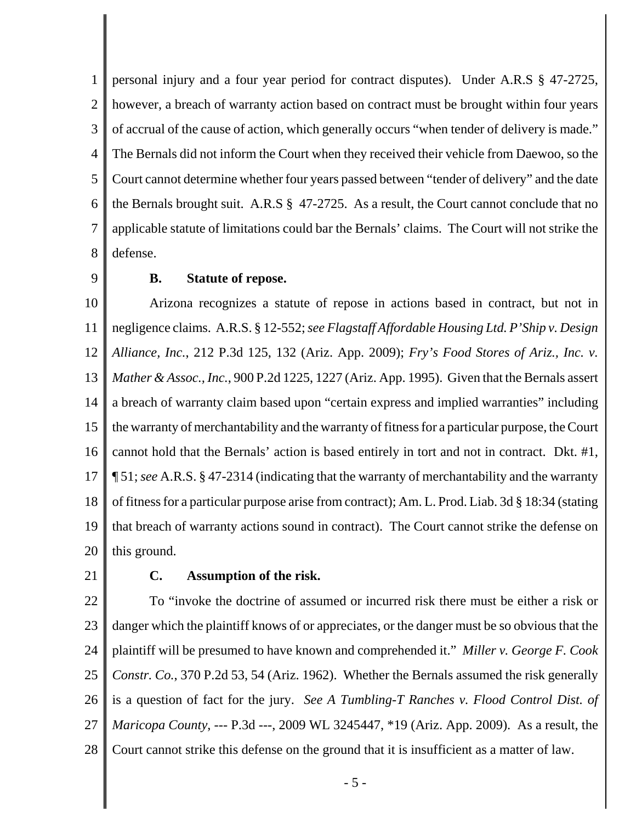1 2 3 4 5 6 7 8 personal injury and a four year period for contract disputes). Under A.R.S § 47-2725, however, a breach of warranty action based on contract must be brought within four years of accrual of the cause of action, which generally occurs "when tender of delivery is made." The Bernals did not inform the Court when they received their vehicle from Daewoo, so the Court cannot determine whether four years passed between "tender of delivery" and the date the Bernals brought suit. A.R.S § 47-2725. As a result, the Court cannot conclude that no applicable statute of limitations could bar the Bernals' claims. The Court will not strike the defense.

9

### **B. Statute of repose.**

10 11 12 13 14 15 16 17 18 19 20 Arizona recognizes a statute of repose in actions based in contract, but not in negligence claims. A.R.S. § 12-552; *see Flagstaff Affordable Housing Ltd. P'Ship v. Design Alliance, Inc.*, 212 P.3d 125, 132 (Ariz. App. 2009); *Fry's Food Stores of Ariz., Inc. v. Mather & Assoc., Inc.*, 900 P.2d 1225, 1227 (Ariz. App. 1995). Given that the Bernals assert a breach of warranty claim based upon "certain express and implied warranties" including the warranty of merchantability and the warranty of fitness for a particular purpose, the Court cannot hold that the Bernals' action is based entirely in tort and not in contract. Dkt. #1, ¶ 51; *see* A.R.S. § 47-2314 (indicating that the warranty of merchantability and the warranty of fitness for a particular purpose arise from contract); Am. L. Prod. Liab. 3d § 18:34 (stating that breach of warranty actions sound in contract). The Court cannot strike the defense on this ground.

21

# **C. Assumption of the risk.**

22 23 24 25 26 27 28 To "invoke the doctrine of assumed or incurred risk there must be either a risk or danger which the plaintiff knows of or appreciates, or the danger must be so obvious that the plaintiff will be presumed to have known and comprehended it." *Miller v. George F. Cook Constr. Co.*, 370 P.2d 53, 54 (Ariz. 1962). Whether the Bernals assumed the risk generally is a question of fact for the jury. *See A Tumbling-T Ranches v. Flood Control Dist. of Maricopa County*, --- P.3d ---, 2009 WL 3245447, \*19 (Ariz. App. 2009). As a result, the Court cannot strike this defense on the ground that it is insufficient as a matter of law.

- 5 -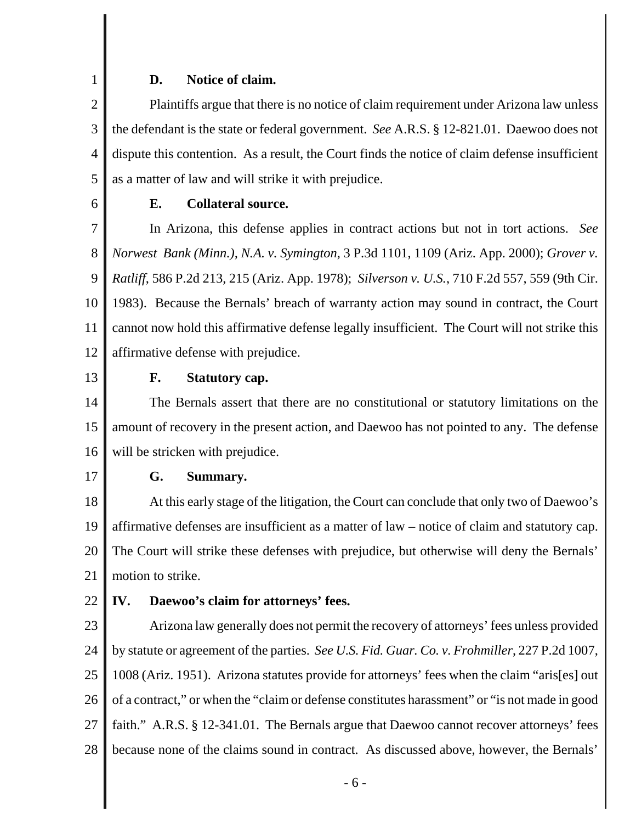### **D. Notice of claim.**

2 3 4 5 Plaintiffs argue that there is no notice of claim requirement under Arizona law unless the defendant is the state or federal government. *See* A.R.S. § 12-821.01. Daewoo does not dispute this contention. As a result, the Court finds the notice of claim defense insufficient as a matter of law and will strike it with prejudice.

6

1

# **E. Collateral source.**

7 8 9 10 11 12 In Arizona, this defense applies in contract actions but not in tort actions. *See Norwest Bank (Minn.), N.A. v. Symington*, 3 P.3d 1101, 1109 (Ariz. App. 2000); *Grover v. Ratliff*, 586 P.2d 213, 215 (Ariz. App. 1978); *Silverson v. U.S.*, 710 F.2d 557, 559 (9th Cir. 1983). Because the Bernals' breach of warranty action may sound in contract, the Court cannot now hold this affirmative defense legally insufficient. The Court will not strike this affirmative defense with prejudice.

13

# **F. Statutory cap.**

14 15 16 The Bernals assert that there are no constitutional or statutory limitations on the amount of recovery in the present action, and Daewoo has not pointed to any. The defense will be stricken with prejudice.

17

# **G. Summary.**

18 19 20 21 At this early stage of the litigation, the Court can conclude that only two of Daewoo's affirmative defenses are insufficient as a matter of law – notice of claim and statutory cap. The Court will strike these defenses with prejudice, but otherwise will deny the Bernals' motion to strike.

#### 22 **IV. Daewoo's claim for attorneys' fees.**

23 24 25 26 27 28 Arizona law generally does not permit the recovery of attorneys' fees unless provided by statute or agreement of the parties. *See U.S. Fid. Guar. Co. v. Frohmiller*, 227 P.2d 1007, 1008 (Ariz. 1951). Arizona statutes provide for attorneys' fees when the claim "aris[es] out of a contract," or when the "claim or defense constitutes harassment" or "is not made in good faith." A.R.S. § 12-341.01. The Bernals argue that Daewoo cannot recover attorneys' fees because none of the claims sound in contract. As discussed above, however, the Bernals'

- 6 -